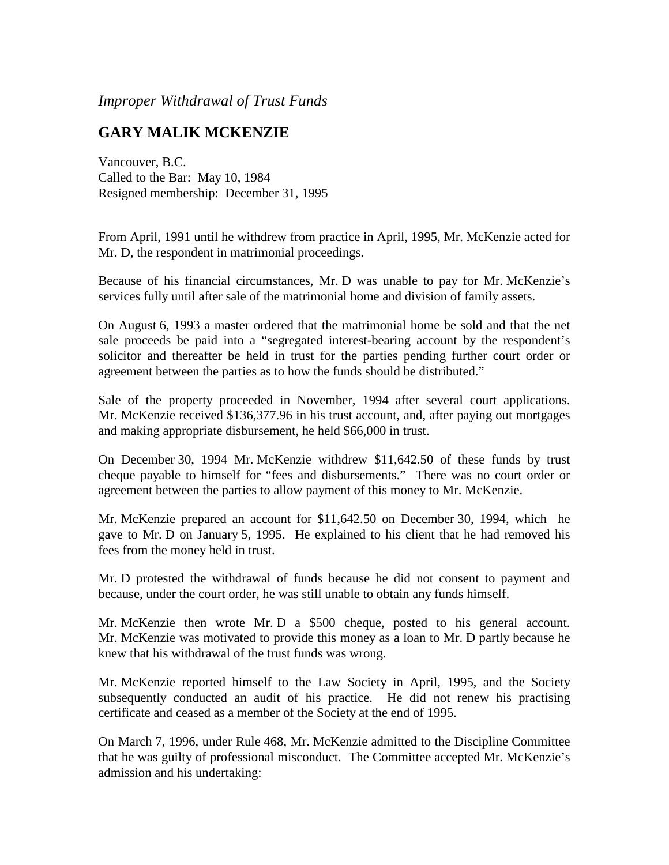*Improper Withdrawal of Trust Funds*

## **GARY MALIK MCKENZIE**

Vancouver, B.C. Called to the Bar: May 10, 1984 Resigned membership: December 31, 1995

From April, 1991 until he withdrew from practice in April, 1995, Mr. McKenzie acted for Mr. D, the respondent in matrimonial proceedings.

Because of his financial circumstances, Mr. D was unable to pay for Mr. McKenzie's services fully until after sale of the matrimonial home and division of family assets.

On August 6, 1993 a master ordered that the matrimonial home be sold and that the net sale proceeds be paid into a "segregated interest-bearing account by the respondent's solicitor and thereafter be held in trust for the parties pending further court order or agreement between the parties as to how the funds should be distributed."

Sale of the property proceeded in November, 1994 after several court applications. Mr. McKenzie received \$136,377.96 in his trust account, and, after paying out mortgages and making appropriate disbursement, he held \$66,000 in trust.

On December 30, 1994 Mr. McKenzie withdrew \$11,642.50 of these funds by trust cheque payable to himself for "fees and disbursements." There was no court order or agreement between the parties to allow payment of this money to Mr. McKenzie.

Mr. McKenzie prepared an account for \$11,642.50 on December 30, 1994, which he gave to Mr. D on January 5, 1995. He explained to his client that he had removed his fees from the money held in trust.

Mr. D protested the withdrawal of funds because he did not consent to payment and because, under the court order, he was still unable to obtain any funds himself.

Mr. McKenzie then wrote Mr. D a \$500 cheque, posted to his general account. Mr. McKenzie was motivated to provide this money as a loan to Mr. D partly because he knew that his withdrawal of the trust funds was wrong.

Mr. McKenzie reported himself to the Law Society in April, 1995, and the Society subsequently conducted an audit of his practice. He did not renew his practising certificate and ceased as a member of the Society at the end of 1995.

On March 7, 1996, under Rule 468, Mr. McKenzie admitted to the Discipline Committee that he was guilty of professional misconduct. The Committee accepted Mr. McKenzie's admission and his undertaking: